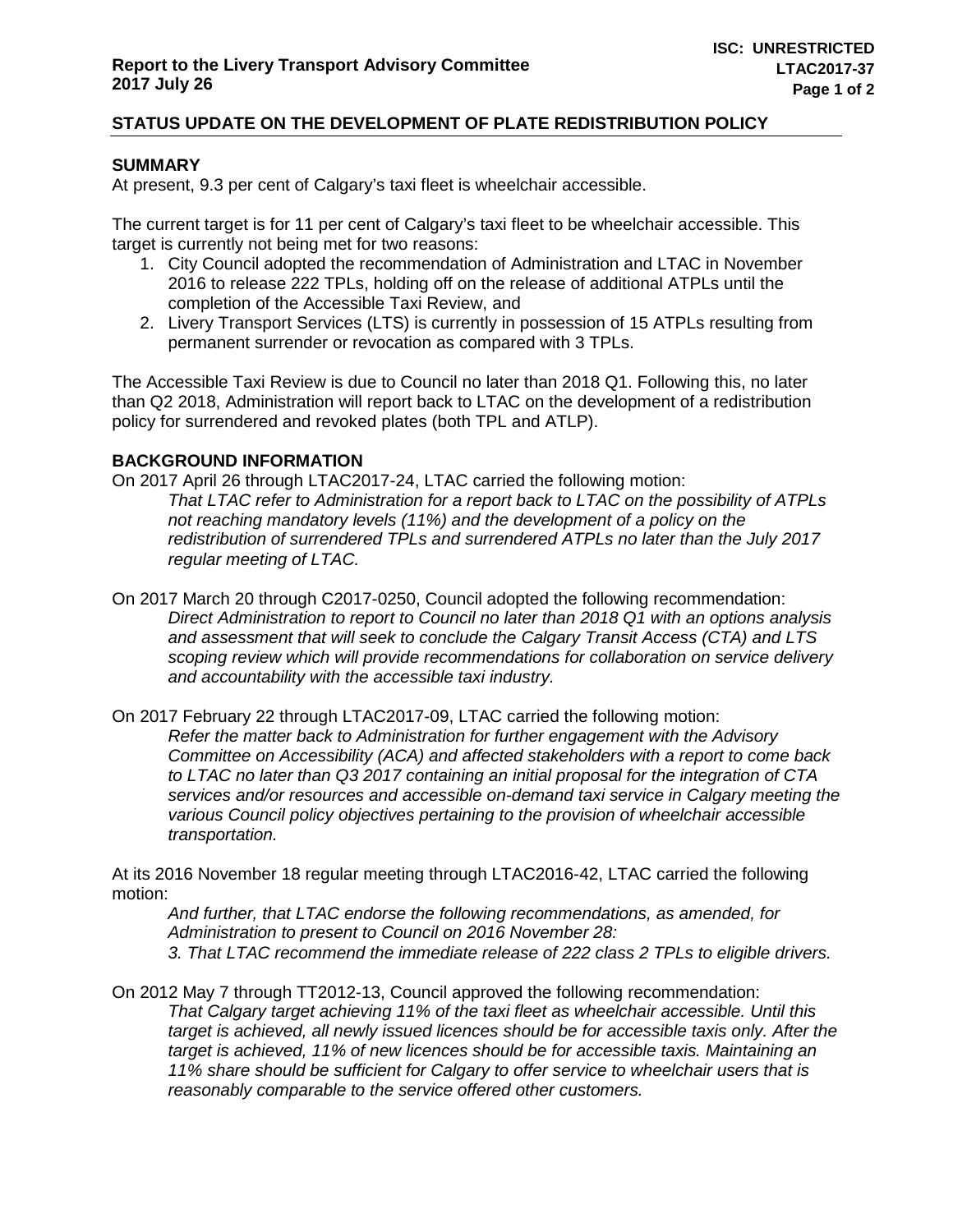# **STATUS UPDATE ON THE DEVELOPMENT OF PLATE REDISTRIBUTION POLICY**

# **SUMMARY**

At present, 9.3 per cent of Calgary's taxi fleet is wheelchair accessible.

The current target is for 11 per cent of Calgary's taxi fleet to be wheelchair accessible. This target is currently not being met for two reasons:

- 1. City Council adopted the recommendation of Administration and LTAC in November 2016 to release 222 TPLs, holding off on the release of additional ATPLs until the completion of the Accessible Taxi Review, and
- 2. Livery Transport Services (LTS) is currently in possession of 15 ATPLs resulting from permanent surrender or revocation as compared with 3 TPLs.

The Accessible Taxi Review is due to Council no later than 2018 Q1. Following this, no later than Q2 2018, Administration will report back to LTAC on the development of a redistribution policy for surrendered and revoked plates (both TPL and ATLP).

### **BACKGROUND INFORMATION**

On 2017 April 26 through LTAC2017-24, LTAC carried the following motion: *That LTAC refer to Administration for a report back to LTAC on the possibility of ATPLs not reaching mandatory levels (11%) and the development of a policy on the redistribution of surrendered TPLs and surrendered ATPLs no later than the July 2017 regular meeting of LTAC.*

- On 2017 March 20 through C2017-0250, Council adopted the following recommendation: *Direct Administration to report to Council no later than 2018 Q1 with an options analysis and assessment that will seek to conclude the Calgary Transit Access (CTA) and LTS scoping review which will provide recommendations for collaboration on service delivery and accountability with the accessible taxi industry.*
- On 2017 February 22 through LTAC2017-09, LTAC carried the following motion: *Refer the matter back to Administration for further engagement with the Advisory Committee on Accessibility (ACA) and affected stakeholders with a report to come back to LTAC no later than Q3 2017 containing an initial proposal for the integration of CTA services and/or resources and accessible on-demand taxi service in Calgary meeting the various Council policy objectives pertaining to the provision of wheelchair accessible transportation.*

At its 2016 November 18 regular meeting through LTAC2016-42, LTAC carried the following motion:

*And further, that LTAC endorse the following recommendations, as amended, for Administration to present to Council on 2016 November 28: 3. That LTAC recommend the immediate release of 222 class 2 TPLs to eligible drivers.*

On 2012 May 7 through TT2012-13, Council approved the following recommendation: *That Calgary target achieving 11% of the taxi fleet as wheelchair accessible. Until this target is achieved, all newly issued licences should be for accessible taxis only. After the target is achieved, 11% of new licences should be for accessible taxis. Maintaining an 11% share should be sufficient for Calgary to offer service to wheelchair users that is reasonably comparable to the service offered other customers.*